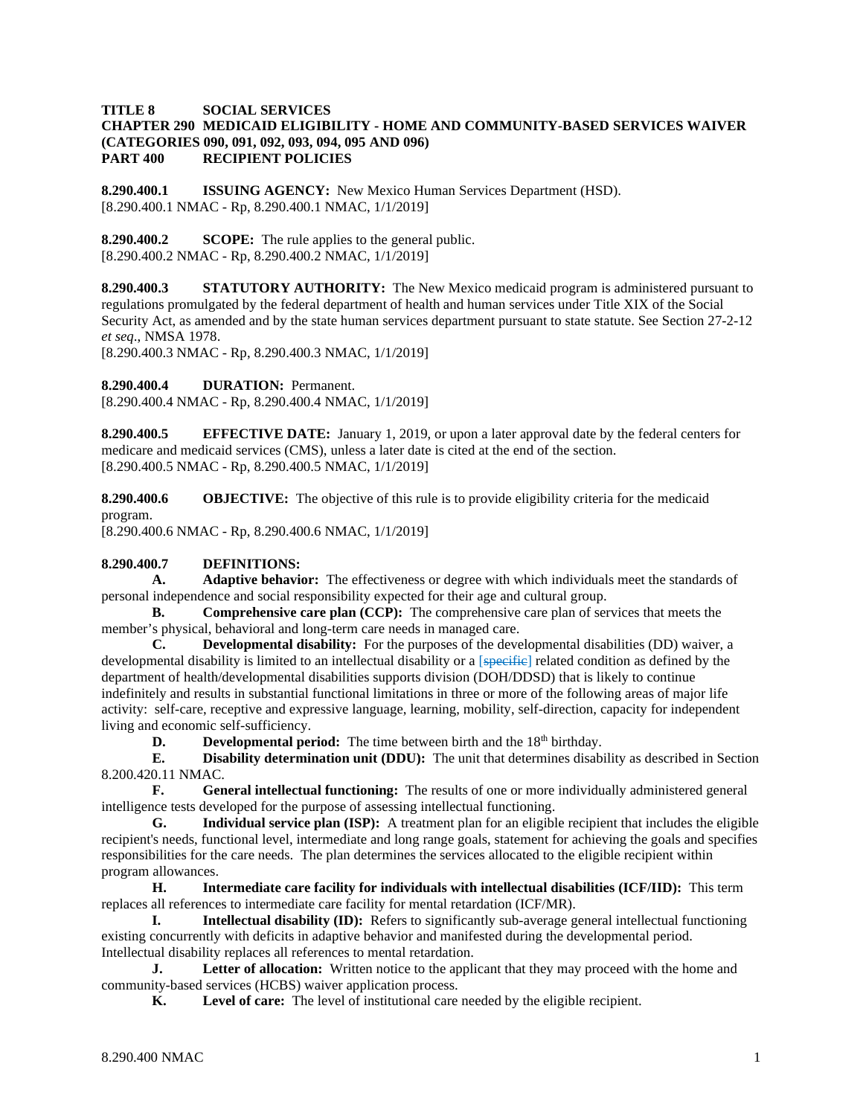## **TITLE 8 SOCIAL SERVICES CHAPTER 290 MEDICAID ELIGIBILITY - HOME AND COMMUNITY-BASED SERVICES WAIVER (CATEGORIES 090, 091, 092, 093, 094, 095 AND 096) RECIPIENT POLICIES**

**8.290.400.1 ISSUING AGENCY:** New Mexico Human Services Department (HSD). [8.290.400.1 NMAC - Rp, 8.290.400.1 NMAC, 1/1/2019]

**8.290.400.2 SCOPE:** The rule applies to the general public. [8.290.400.2 NMAC - Rp, 8.290.400.2 NMAC, 1/1/2019]

**8.290.400.3 STATUTORY AUTHORITY:** The New Mexico medicaid program is administered pursuant to regulations promulgated by the federal department of health and human services under Title XIX of the Social Security Act, as amended and by the state human services department pursuant to state statute. See Section 27-2-12 *et seq*., NMSA 1978.

[8.290.400.3 NMAC - Rp, 8.290.400.3 NMAC, 1/1/2019]

**8.290.400.4 DURATION:** Permanent.

[8.290.400.4 NMAC - Rp, 8.290.400.4 NMAC, 1/1/2019]

**8.290.400.5 EFFECTIVE DATE:** January 1, 2019, or upon a later approval date by the federal centers for medicare and medicaid services (CMS), unless a later date is cited at the end of the section. [8.290.400.5 NMAC - Rp, 8.290.400.5 NMAC, 1/1/2019]

**8.290.400.6 OBJECTIVE:** The objective of this rule is to provide eligibility criteria for the medicaid program.

[8.290.400.6 NMAC - Rp, 8.290.400.6 NMAC, 1/1/2019]

#### **8.290.400.7 DEFINITIONS:**

**A. Adaptive behavior:** The effectiveness or degree with which individuals meet the standards of personal independence and social responsibility expected for their age and cultural group.

**B. Comprehensive care plan (CCP):** The comprehensive care plan of services that meets the member's physical, behavioral and long-term care needs in managed care.

**C. Developmental disability:** For the purposes of the developmental disabilities (DD) waiver, a developmental disability is limited to an intellectual disability or a [specific] related condition as defined by the department of health/developmental disabilities supports division (DOH/DDSD) that is likely to continue indefinitely and results in substantial functional limitations in three or more of the following areas of major life activity: self-care, receptive and expressive language, learning, mobility, self-direction, capacity for independent living and economic self-sufficiency.

**D. Developmental period:** The time between birth and the 18<sup>th</sup> birthday.

**E. Disability determination unit (DDU):** The unit that determines disability as described in Section 8.200.420.11 NMAC.

**F. General intellectual functioning:** The results of one or more individually administered general intelligence tests developed for the purpose of assessing intellectual functioning.

**G. Individual service plan (ISP):** A treatment plan for an eligible recipient that includes the eligible recipient's needs, functional level, intermediate and long range goals, statement for achieving the goals and specifies responsibilities for the care needs. The plan determines the services allocated to the eligible recipient within program allowances.

**H. Intermediate care facility for individuals with intellectual disabilities (ICF/IID):** This term replaces all references to intermediate care facility for mental retardation (ICF/MR).

**I. Intellectual disability (ID):** Refers to significantly sub-average general intellectual functioning existing concurrently with deficits in adaptive behavior and manifested during the developmental period. Intellectual disability replaces all references to mental retardation.

**J. Letter of allocation:** Written notice to the applicant that they may proceed with the home and community-based services (HCBS) waiver application process.

**K. Level of care:** The level of institutional care needed by the eligible recipient.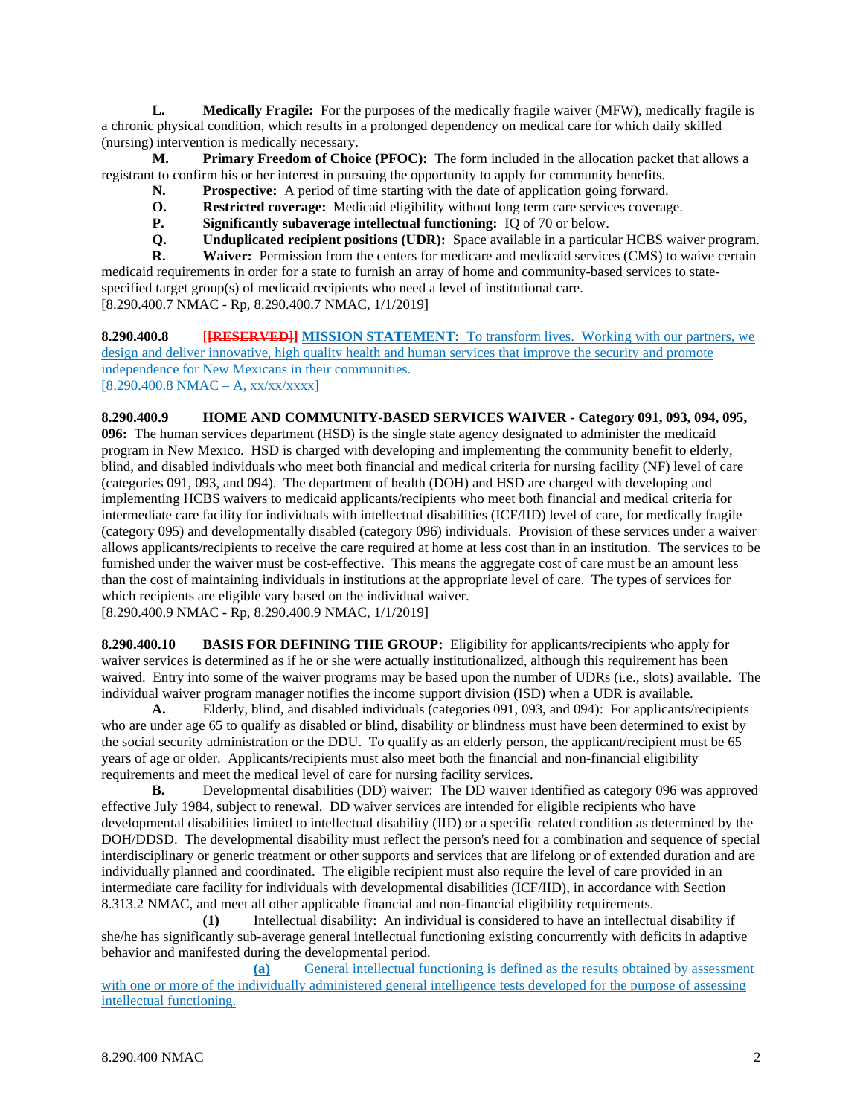**L. Medically Fragile:** For the purposes of the medically fragile waiver (MFW), medically fragile is a chronic physical condition, which results in a prolonged dependency on medical care for which daily skilled (nursing) intervention is medically necessary.

**M. Primary Freedom of Choice (PFOC):** The form included in the allocation packet that allows a registrant to confirm his or her interest in pursuing the opportunity to apply for community benefits.

- **N. Prospective:** A period of time starting with the date of application going forward.
- **O. Restricted coverage:** Medicaid eligibility without long term care services coverage.
- **P. Significantly subaverage intellectual functioning:** IQ of 70 or below.<br>**Q. Unduplicated recipient positions (UDR):** Space available in a particul
- **Q. Unduplicated recipient positions (UDR):** Space available in a particular HCBS waiver program.<br>**R. Waiver:** Permission from the centers for medicare and medicaid services (CMS) to waive certain

Waiver: Permission from the centers for medicare and medicaid services (CMS) to waive certain medicaid requirements in order for a state to furnish an array of home and community-based services to statespecified target group(s) of medicaid recipients who need a level of institutional care. [8.290.400.7 NMAC - Rp, 8.290.400.7 NMAC, 1/1/2019]

**8.290.400.8** [**[RESERVED]] MISSION STATEMENT:** To transform lives. Working with our partners, we design and deliver innovative, high quality health and human services that improve the security and promote independence for New Mexicans in their communities.  $[8.290.400.8 \text{ NMAC} - \text{A}, \text{xx}/\text{xx}/\text{xx} \text{xx}]$ 

**8.290.400.9 HOME AND COMMUNITY-BASED SERVICES WAIVER - Category 091, 093, 094, 095, 096:** The human services department (HSD) is the single state agency designated to administer the medicaid program in New Mexico. HSD is charged with developing and implementing the community benefit to elderly, blind, and disabled individuals who meet both financial and medical criteria for nursing facility (NF) level of care (categories 091, 093, and 094). The department of health (DOH) and HSD are charged with developing and implementing HCBS waivers to medicaid applicants/recipients who meet both financial and medical criteria for intermediate care facility for individuals with intellectual disabilities (ICF/IID) level of care, for medically fragile (category 095) and developmentally disabled (category 096) individuals. Provision of these services under a waiver allows applicants/recipients to receive the care required at home at less cost than in an institution. The services to be furnished under the waiver must be cost-effective. This means the aggregate cost of care must be an amount less than the cost of maintaining individuals in institutions at the appropriate level of care. The types of services for which recipients are eligible vary based on the individual waiver.

[8.290.400.9 NMAC - Rp, 8.290.400.9 NMAC, 1/1/2019]

**8.290.400.10 BASIS FOR DEFINING THE GROUP:** Eligibility for applicants/recipients who apply for waiver services is determined as if he or she were actually institutionalized, although this requirement has been waived. Entry into some of the waiver programs may be based upon the number of UDRs (i.e., slots) available. The individual waiver program manager notifies the income support division (ISD) when a UDR is available.

**A.** Elderly, blind, and disabled individuals (categories 091, 093, and 094): For applicants/recipients who are under age 65 to qualify as disabled or blind, disability or blindness must have been determined to exist by the social security administration or the DDU. To qualify as an elderly person, the applicant/recipient must be 65 years of age or older. Applicants/recipients must also meet both the financial and non-financial eligibility requirements and meet the medical level of care for nursing facility services.<br> **B.** Developmental disabilities (DD) waiver: The DD waiver is

**B.** Developmental disabilities (DD) waiver: The DD waiver identified as category 096 was approved effective July 1984, subject to renewal. DD waiver services are intended for eligible recipients who have developmental disabilities limited to intellectual disability (IID) or a specific related condition as determined by the DOH/DDSD. The developmental disability must reflect the person's need for a combination and sequence of special interdisciplinary or generic treatment or other supports and services that are lifelong or of extended duration and are individually planned and coordinated. The eligible recipient must also require the level of care provided in an intermediate care facility for individuals with developmental disabilities (ICF/IID), in accordance with Section 8.313.2 NMAC, and meet all other applicable financial and non-financial eligibility requirements.

**(1)** Intellectual disability: An individual is considered to have an intellectual disability if she/he has significantly sub-average general intellectual functioning existing concurrently with deficits in adaptive behavior and manifested during the developmental period.

**(a)** General intellectual functioning is defined as the results obtained by assessment with one or more of the individually administered general intelligence tests developed for the purpose of assessing intellectual functioning.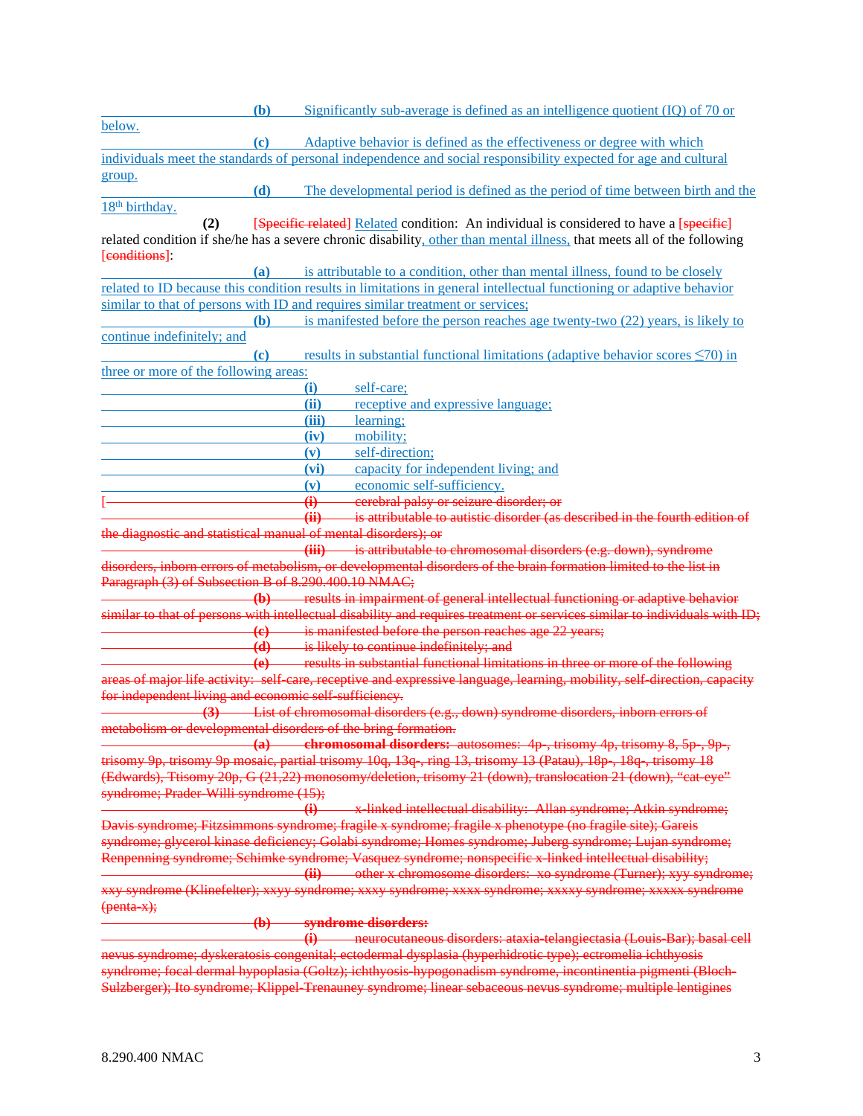|                                                                                                             | (b)                        | Significantly sub-average is defined as an intelligence quotient $(IQ)$ of 70 or                                                                                                                                   |
|-------------------------------------------------------------------------------------------------------------|----------------------------|--------------------------------------------------------------------------------------------------------------------------------------------------------------------------------------------------------------------|
| below.                                                                                                      |                            |                                                                                                                                                                                                                    |
|                                                                                                             | (c)                        | Adaptive behavior is defined as the effectiveness or degree with which                                                                                                                                             |
|                                                                                                             |                            | individuals meet the standards of personal independence and social responsibility expected for age and cultural                                                                                                    |
| group.                                                                                                      |                            |                                                                                                                                                                                                                    |
|                                                                                                             | (d)                        | The developmental period is defined as the period of time between birth and the                                                                                                                                    |
| 18 <sup>th</sup> birthday.                                                                                  |                            |                                                                                                                                                                                                                    |
| (2)                                                                                                         |                            | [Specific related] Related condition: An individual is considered to have a [specific]                                                                                                                             |
|                                                                                                             |                            | related condition if she/he has a severe chronic disability, other than mental illness, that meets all of the following                                                                                            |
| [conditions]:                                                                                               | (a)                        | is attributable to a condition, other than mental illness, found to be closely                                                                                                                                     |
|                                                                                                             |                            | related to ID because this condition results in limitations in general intellectual functioning or adaptive behavior                                                                                               |
|                                                                                                             |                            | similar to that of persons with ID and requires similar treatment or services;                                                                                                                                     |
|                                                                                                             | (b)                        | is manifested before the person reaches age twenty-two (22) years, is likely to                                                                                                                                    |
| continue indefinitely; and                                                                                  |                            |                                                                                                                                                                                                                    |
|                                                                                                             | (c)                        | results in substantial functional limitations (adaptive behavior scores $\leq 70$ ) in                                                                                                                             |
| three or more of the following areas:                                                                       |                            |                                                                                                                                                                                                                    |
|                                                                                                             |                            | (i)<br>self-care;                                                                                                                                                                                                  |
|                                                                                                             |                            | (ii)<br>receptive and expressive language;                                                                                                                                                                         |
|                                                                                                             |                            | (iii)<br>learning;                                                                                                                                                                                                 |
|                                                                                                             |                            | (iv)<br>mobility;                                                                                                                                                                                                  |
|                                                                                                             |                            | self-direction;<br>(v)                                                                                                                                                                                             |
|                                                                                                             |                            | (vi)<br>capacity for independent living; and                                                                                                                                                                       |
|                                                                                                             |                            | economic self-sufficiency.<br>(v)                                                                                                                                                                                  |
|                                                                                                             |                            | cerebral palsy or seizure disorder; or<br>$\ddot{\mathbf{u}}$                                                                                                                                                      |
|                                                                                                             |                            | is attributable to autistic disorder (as described in the fourth edition of<br>$\overline{4}$                                                                                                                      |
|                                                                                                             |                            | the diagnostic and statistical manual of mental disorders); or                                                                                                                                                     |
|                                                                                                             |                            | (iii) is attributable to chromosomal disorders (e.g. down), syndrome<br><del>disorders, inborn errors of metabolism, or developmental disorders of the brain formation limited to the list in</del>                |
| Paragraph (3) of Subsection B of 8.290.400.10 NMAC;                                                         |                            |                                                                                                                                                                                                                    |
|                                                                                                             |                            | (b) results in impairment of general intellectual functioning or adaptive behavior                                                                                                                                 |
|                                                                                                             |                            | similar to that of persons with intellectual disability and requires treatment or services similar to individuals with ID;                                                                                         |
|                                                                                                             |                            | (e) is manifested before the person reaches age 22 years;                                                                                                                                                          |
|                                                                                                             |                            | (d) is likely to continue indefinitely; and                                                                                                                                                                        |
|                                                                                                             |                            | (e) results in substantial functional limitations in three or more of the following                                                                                                                                |
|                                                                                                             |                            | areas of major life activity: self-care, receptive and expressive language, learning, mobility, self-direction, capacity                                                                                           |
| for independent living and economic self sufficiency.                                                       |                            |                                                                                                                                                                                                                    |
|                                                                                                             |                            | (3) List of chromosomal disorders (e.g., down) syndrome disorders, inborn errors of                                                                                                                                |
|                                                                                                             |                            | metabolism or developmental disorders of the bring formation.                                                                                                                                                      |
|                                                                                                             |                            | (a) chromosomal disorders: autosomes: $4p$ , trisomy $4p$ , trisomy $8, 5p$ , $9p$ ,                                                                                                                               |
|                                                                                                             |                            | trisomy 9p, trisomy 9p mosaic, partial trisomy 10q, 13q , ring 13, trisomy 13 (Patau), 18p , 18q , trisomy 18                                                                                                      |
|                                                                                                             |                            | (Edwards), Ttisomy 20p, G (21,22) monosomy/deletion, trisomy 21 (down), translocation 21 (down), "cat eye"                                                                                                         |
| syndrome; Prader Willi syndrome (15);                                                                       |                            |                                                                                                                                                                                                                    |
|                                                                                                             |                            | x linked intellectual disability: Allan syndrome; Atkin syndrome;                                                                                                                                                  |
|                                                                                                             |                            | Davis syndrome; Fitzsimmons syndrome; fragile x syndrome; fragile x phenotype (no fragile site); Gareis<br>syndrome; glycerol kinase deficiency; Golabi syndrome; Homes syndrome; Juberg syndrome; Lujan syndrome; |
|                                                                                                             |                            | Renpenning syndrome; Schimke syndrome; Vasquez syndrome; nonspecific x-linked intellectual disability;                                                                                                             |
|                                                                                                             |                            | (ii) other x chromosome disorders: xo syndrome (Turner); xyy syndrome;                                                                                                                                             |
|                                                                                                             |                            | xxy syndrome (Klinefelter); xxyy syndrome; xxxy syndrome; xxxx syndrome; xxxxy syndrome; xxxxx syndrome                                                                                                            |
| (penta x);                                                                                                  |                            |                                                                                                                                                                                                                    |
|                                                                                                             | $\left( \mathbf{b}\right)$ | syndrome disorders:                                                                                                                                                                                                |
|                                                                                                             |                            | neurocutaneous disorders: ataxia telangiectasia (Louis Bar); basal cell<br>$\bigoplus$                                                                                                                             |
|                                                                                                             |                            | nevus syndrome; dyskeratosis congenital; ectodermal dysplasia (hyperhidrotic type); ectromelia ichthyosis                                                                                                          |
|                                                                                                             |                            | syndrome; focal dermal hypoplasia (Goltz); ichthyosis hypogonadism syndrome, incontinentia pigmenti (Bloch-                                                                                                        |
| Sulzberger); Ito syndrome; Klippel-Trenauney syndrome; linear sebaceous nevus syndrome; multiple lentigines |                            |                                                                                                                                                                                                                    |
|                                                                                                             |                            |                                                                                                                                                                                                                    |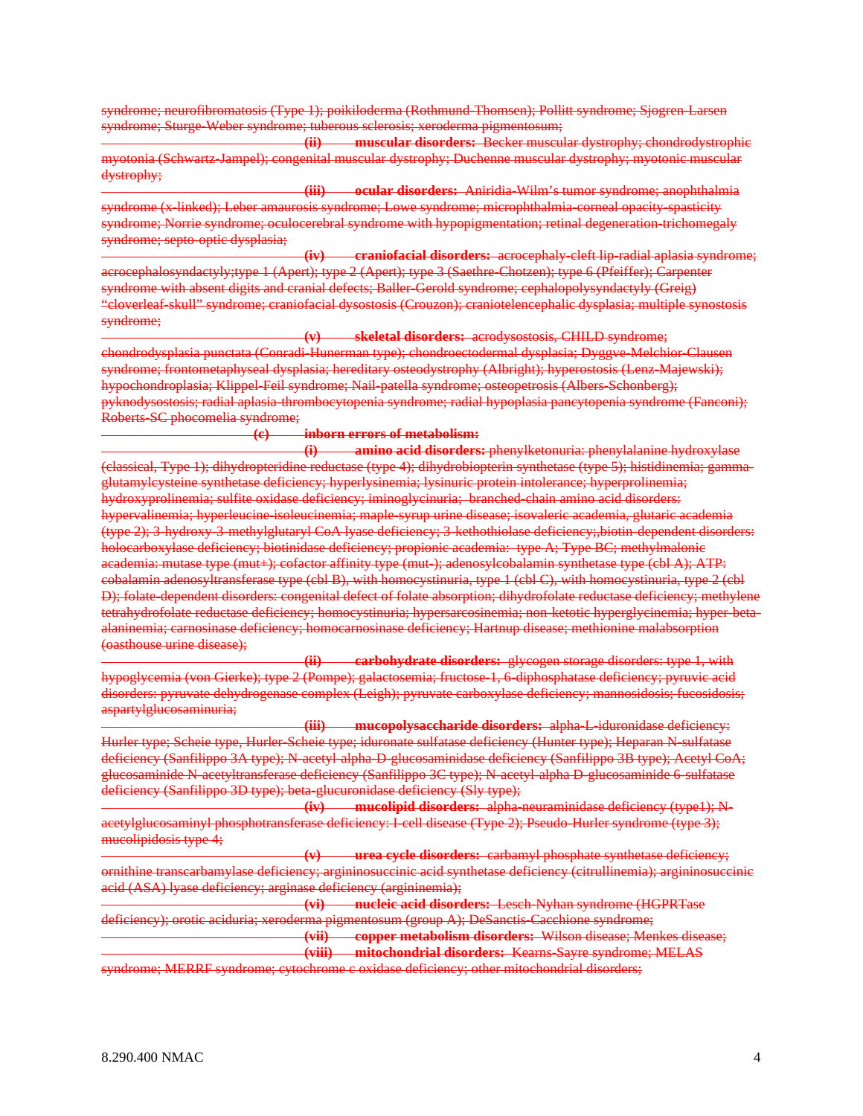syndrome; neurofibromatosis (Type 1); poikiloderma (Rothmund-Thomsen); Pollitt syndrome; Sjogren-Larsen syndrome; Sturge-Weber syndrome; tuberous sclerosis; xeroderma pigmentosum;

**(ii) muscular disorders:** Becker muscular dystrophy; chondrodystrophic myotonia (Schwartz-Jampel); congenital muscular dystrophy; Duchenne muscular dystrophy; myotonic muscular dystrophy;

**(iii) ocular disorders:** Aniridia-Wilm's tumor syndrome; anophthalmia syndrome (x-linked); Leber amaurosis syndrome; Lowe syndrome; microphthalmia-corneal opacity-spasticity syndrome; Norrie syndrome; oculocerebral syndrome with hypopigmentation; retinal degeneration-trichomegaly syndrome; septo-optic dysplasia;

**(iv) craniofacial disorders:** acrocephaly-cleft lip-radial aplasia syndrome; acrocephalosyndactyly;type 1 (Apert); type 2 (Apert); type 3 (Saethre-Chotzen); type 6 (Pfeiffer); Carpenter syndrome with absent digits and cranial defects; Baller-Gerold syndrome; cephalopolysyndactyly (Greig) "cloverleaf-skull" syndrome; craniofacial dysostosis (Crouzon); craniotelencephalic dysplasia; multiple synostosis syndrome;

**(v) skeletal disorders:** acrodysostosis, CHILD syndrome; chondrodysplasia punctata (Conradi-Hunerman type); chondroectodermal dysplasia; Dyggve-Melchior-Clausen syndrome; frontometaphyseal dysplasia; hereditary osteodystrophy (Albright); hyperostosis (Lenz-Majewski); hypochondroplasia; Klippel-Feil syndrome; Nail-patella syndrome; osteopetrosis (Albers-Schonberg); pyknodysostosis; radial aplasia-thrombocytopenia syndrome; radial hypoplasia pancytopenia syndrome (Fanconi); Roberts-SC phocomelia syndrome;

# **(c) inborn errors of metabolism:**

**(i) amino acid disorders:** phenylketonuria: phenylalanine hydroxylase (classical, Type 1); dihydropteridine reductase (type 4); dihydrobiopterin synthetase (type 5); histidinemia; gammaglutamylcysteine synthetase deficiency; hyperlysinemia; lysinuric protein intolerance; hyperprolinemia; hydroxyprolinemia; sulfite oxidase deficiency; iminoglycinuria; branched-chain amino acid disorders: hypervalinemia; hyperleucine-isoleucinemia; maple-syrup urine disease; isovaleric academia, glutaric academia (type 2); 3-hydroxy-3-methylglutaryl CoA lyase deficiency; 3-kethothiolase deficiency;,biotin-dependent disorders: holocarboxylase deficiency; biotinidase deficiency; propionic academia: type A; Type BC; methylmalonic academia: mutase type (mut+); cofactor affinity type (mut-); adenosylcobalamin synthetase type (cbl A); ATP: cobalamin adenosyltransferase type (cbl B), with homocystinuria, type 1 (cbl C), with homocystinuria, type 2 (cbl D); folate-dependent disorders: congenital defect of folate absorption; dihydrofolate reductase deficiency; methylene tetrahydrofolate reductase deficiency; homocystinuria; hypersarcosinemia; non-ketotic hyperglycinemia; hyper-betaalaninemia; carnosinase deficiency; homocarnosinase deficiency; Hartnup disease; methionine malabsorption (oasthouse urine disease);

**(ii) carbohydrate disorders:** glycogen storage disorders: type 1, with hypoglycemia (von Gierke); type 2 (Pompe); galactosemia; fructose-1, 6-diphosphatase deficiency; pyruvic acid disorders: pyruvate dehydrogenase complex (Leigh); pyruvate carboxylase deficiency; mannosidosis; fucosidosis; aspartylglucosaminuria;

**(iii) mucopolysaccharide disorders:** alpha-L-iduronidase deficiency: Hurler type; Scheie type, Hurler-Scheie type; iduronate sulfatase deficiency (Hunter type); Heparan N-sulfatase deficiency (Sanfilippo 3A type); N-acetyl-alpha-D-glucosaminidase deficiency (Sanfilippo 3B type); Acetyl CoA; glucosaminide N-acetyltransferase deficiency (Sanfilippo 3C type); N-acetyl-alpha D-glucosaminide 6-sulfatase deficiency (Sanfilippo 3D type); beta-glucuronidase deficiency (Sly type);

**(iv) mucolipid disorders:** alpha-neuraminidase deficiency (type1); Nacetylglucosaminyl phosphotransferase deficiency: I-cell disease (Type 2); Pseudo-Hurler syndrome (type 3); mucolipidosis type 4;

**(v) urea cycle disorders:** carbamyl phosphate synthetase deficiency; ornithine transcarbamylase deficiency; argininosuccinic acid synthetase deficiency (citrullinemia); argininosuccinic acid (ASA) lyase deficiency; arginase deficiency (argininemia);

**(vi) nucleic acid disorders:** Lesch-Nyhan syndrome (HGPRTase deficiency); orotic aciduria; xeroderma pigmentosum (group A); DeSanctis-Cacchione syndrome; **(vii) copper metabolism disorders:** Wilson disease; Menkes disease; **(viii) mitochondrial disorders:** Kearns-Sayre syndrome; MELAS

syndrome; MERRF syndrome; cytochrome c oxidase deficiency; other mitochondrial disorders;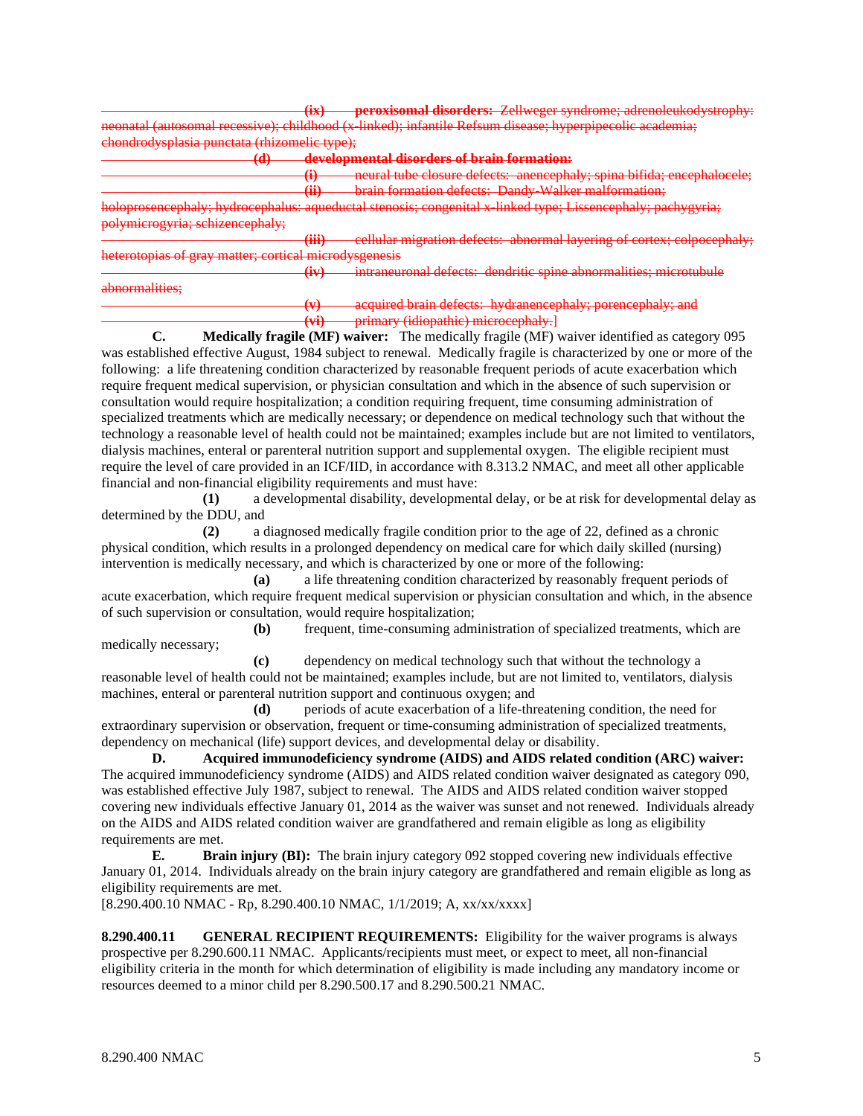**(ix) peroxisomal disorders:** Zellweger syndrome; adrenoleukodystrophy: neonatal (autosomal recessive); childhood (x-linked); infantile Refsum disease; hyperpipecolic academia; chondrodysplasia punctata (rhizomelic type); **(d) developmental disorders of brain formation: (i)** neural tube closure defects: anencephaly; spina bifida; encephalocele; **(ii)** brain formation defects: Dandy-Walker malformation; holoprosencephaly; hydrocephalus: aqueductal stenosis; congenital x-linked type; Lissencephaly; pachygyria; polymicrogyria; schizencephaly; **(iii)** cellular migration defects: abnormal layering of cortex; colpoceph heterotopias of gray matter; cortical microdysgenesis **(iv)** intraneuronal defects: dendritic spine abnormalities; microtubule abnormalities; **(v)** acquired brain defects: hydranencephaly; porencephaly; and

**(vi)** primary (idiopathic) microcephaly.]

**C. Medically fragile (MF) waiver:** The medically fragile (MF) waiver identified as category 095 was established effective August, 1984 subject to renewal. Medically fragile is characterized by one or more of the following: a life threatening condition characterized by reasonable frequent periods of acute exacerbation which require frequent medical supervision, or physician consultation and which in the absence of such supervision or consultation would require hospitalization; a condition requiring frequent, time consuming administration of specialized treatments which are medically necessary; or dependence on medical technology such that without the technology a reasonable level of health could not be maintained; examples include but are not limited to ventilators, dialysis machines, enteral or parenteral nutrition support and supplemental oxygen. The eligible recipient must require the level of care provided in an ICF/IID, in accordance with 8.313.2 NMAC, and meet all other applicable financial and non-financial eligibility requirements and must have:

**(1)** a developmental disability, developmental delay, or be at risk for developmental delay as determined by the DDU, and

**(2)** a diagnosed medically fragile condition prior to the age of 22, defined as a chronic physical condition, which results in a prolonged dependency on medical care for which daily skilled (nursing) intervention is medically necessary, and which is characterized by one or more of the following:

**(a)** a life threatening condition characterized by reasonably frequent periods of acute exacerbation, which require frequent medical supervision or physician consultation and which, in the absence of such supervision or consultation, would require hospitalization;

**(b)** frequent, time-consuming administration of specialized treatments, which are medically necessary;

**(c)** dependency on medical technology such that without the technology a reasonable level of health could not be maintained; examples include, but are not limited to, ventilators, dialysis machines, enteral or parenteral nutrition support and continuous oxygen; and

**(d)** periods of acute exacerbation of a life-threatening condition, the need for extraordinary supervision or observation, frequent or time-consuming administration of specialized treatments, dependency on mechanical (life) support devices, and developmental delay or disability.

**D. Acquired immunodeficiency syndrome (AIDS) and AIDS related condition (ARC) waiver:** The acquired immunodeficiency syndrome (AIDS) and AIDS related condition waiver designated as category 090, was established effective July 1987, subject to renewal. The AIDS and AIDS related condition waiver stopped covering new individuals effective January 01, 2014 as the waiver was sunset and not renewed. Individuals already on the AIDS and AIDS related condition waiver are grandfathered and remain eligible as long as eligibility requirements are met.

**E. Brain injury (BI):** The brain injury category 092 stopped covering new individuals effective January 01, 2014. Individuals already on the brain injury category are grandfathered and remain eligible as long as eligibility requirements are met.

[8.290.400.10 NMAC - Rp, 8.290.400.10 NMAC, 1/1/2019; A, xx/xx/xxxx]

**8.290.400.11 GENERAL RECIPIENT REQUIREMENTS:** Eligibility for the waiver programs is always prospective per 8.290.600.11 NMAC. Applicants/recipients must meet, or expect to meet, all non-financial eligibility criteria in the month for which determination of eligibility is made including any mandatory income or resources deemed to a minor child per 8.290.500.17 and 8.290.500.21 NMAC.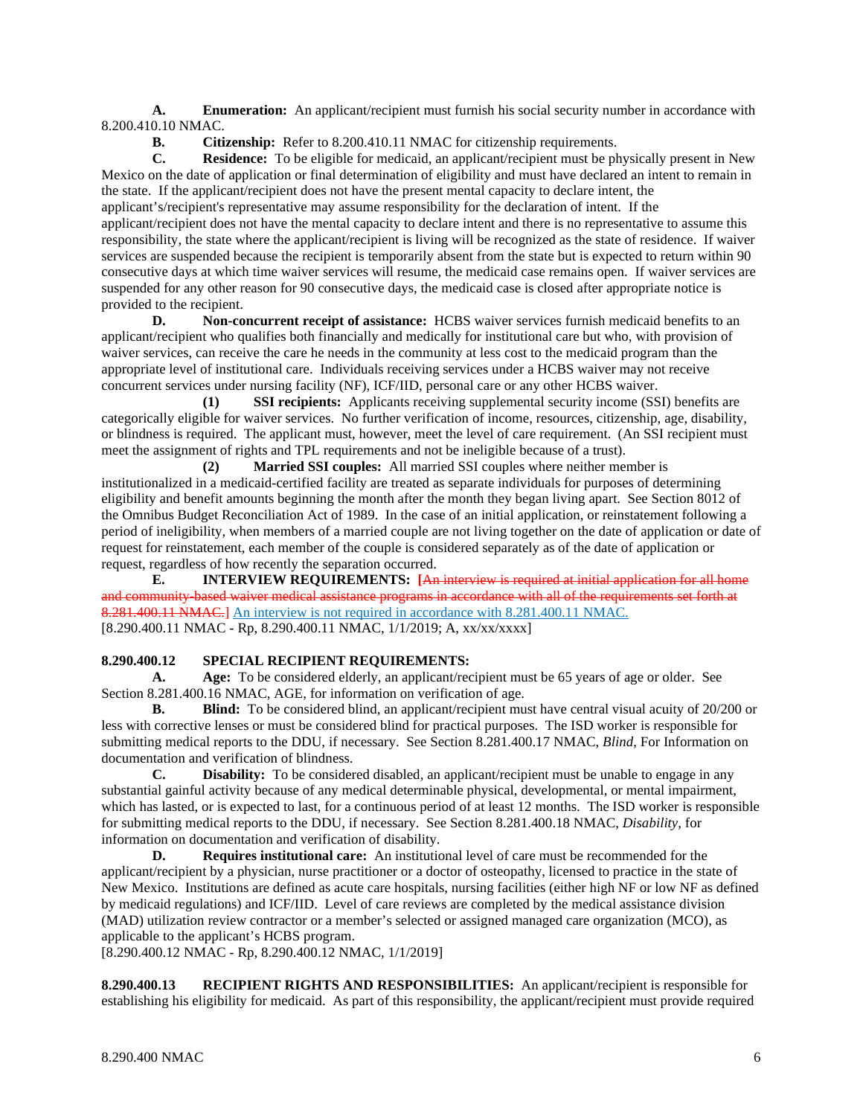**A. Enumeration:** An applicant/recipient must furnish his social security number in accordance with 8.200.410.10 NMAC.

**B. Citizenship:** Refer to 8.200.410.11 NMAC for citizenship requirements.<br> **C. Residence:** To be eligible for medicaid, an applicant/recipient must be ph

**Residence:** To be eligible for medicaid, an applicant/recipient must be physically present in New Mexico on the date of application or final determination of eligibility and must have declared an intent to remain in the state. If the applicant/recipient does not have the present mental capacity to declare intent, the applicant's/recipient's representative may assume responsibility for the declaration of intent. If the applicant/recipient does not have the mental capacity to declare intent and there is no representative to assume this responsibility, the state where the applicant/recipient is living will be recognized as the state of residence. If waiver services are suspended because the recipient is temporarily absent from the state but is expected to return within 90 consecutive days at which time waiver services will resume, the medicaid case remains open. If waiver services are suspended for any other reason for 90 consecutive days, the medicaid case is closed after appropriate notice is provided to the recipient.

**D. Non-concurrent receipt of assistance:** HCBS waiver services furnish medicaid benefits to an applicant/recipient who qualifies both financially and medically for institutional care but who, with provision of waiver services, can receive the care he needs in the community at less cost to the medicaid program than the appropriate level of institutional care. Individuals receiving services under a HCBS waiver may not receive concurrent services under nursing facility (NF), ICF/IID, personal care or any other HCBS waiver.

**(1) SSI recipients:** Applicants receiving supplemental security income (SSI) benefits are categorically eligible for waiver services. No further verification of income, resources, citizenship, age, disability, or blindness is required. The applicant must, however, meet the level of care requirement. (An SSI recipient must meet the assignment of rights and TPL requirements and not be ineligible because of a trust).

**(2) Married SSI couples:** All married SSI couples where neither member is institutionalized in a medicaid-certified facility are treated as separate individuals for purposes of determining eligibility and benefit amounts beginning the month after the month they began living apart. See Section 8012 of the Omnibus Budget Reconciliation Act of 1989. In the case of an initial application, or reinstatement following a period of ineligibility, when members of a married couple are not living together on the date of application or date of request for reinstatement, each member of the couple is considered separately as of the date of application or request, regardless of how recently the separation occurred.

**E. INTERVIEW REQUIREMENTS: [**An interview is required at initial application for all home and community-based waiver medical assistance programs in accordance with all of the requirements set forth at 8.281.400.11 NMAC.] An interview is not required in accordance with 8.281.400.11 NMAC. [8.290.400.11 NMAC - Rp, 8.290.400.11 NMAC, 1/1/2019; A, xx/xx/xxxx]

## **8.290.400.12 SPECIAL RECIPIENT REQUIREMENTS:**

**A. Age:** To be considered elderly, an applicant/recipient must be 65 years of age or older. See Section 8.281.400.16 NMAC, AGE, for information on verification of age.

**B. Blind:** To be considered blind, an applicant/recipient must have central visual acuity of 20/200 or less with corrective lenses or must be considered blind for practical purposes. The ISD worker is responsible for submitting medical reports to the DDU, if necessary. See Section 8.281.400.17 NMAC, *Blind*, For Information on documentation and verification of blindness.

**C. Disability:** To be considered disabled, an applicant/recipient must be unable to engage in any substantial gainful activity because of any medical determinable physical, developmental, or mental impairment, which has lasted, or is expected to last, for a continuous period of at least 12 months. The ISD worker is responsible for submitting medical reports to the DDU, if necessary. See Section 8.281.400.18 NMAC, *Disability*, for information on documentation and verification of disability.

**D. Requires institutional care:** An institutional level of care must be recommended for the applicant/recipient by a physician, nurse practitioner or a doctor of osteopathy, licensed to practice in the state of New Mexico. Institutions are defined as acute care hospitals, nursing facilities (either high NF or low NF as defined by medicaid regulations) and ICF/IID. Level of care reviews are completed by the medical assistance division (MAD) utilization review contractor or a member's selected or assigned managed care organization (MCO), as applicable to the applicant's HCBS program.

[8.290.400.12 NMAC - Rp, 8.290.400.12 NMAC, 1/1/2019]

**8.290.400.13 RECIPIENT RIGHTS AND RESPONSIBILITIES:** An applicant/recipient is responsible for establishing his eligibility for medicaid. As part of this responsibility, the applicant/recipient must provide required